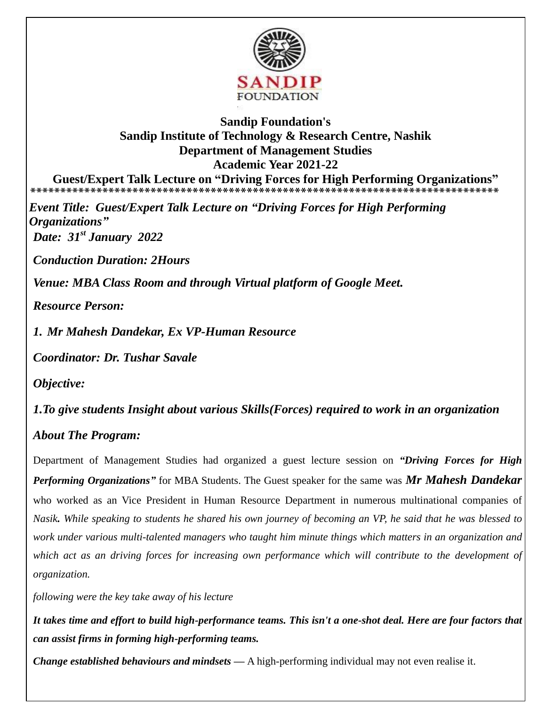

## **Sandip Foundation's Sandip Institute of Technology & Research Centre, Nashik Department of Management Studies Academic Year 2021-22**

**Guest/Expert Talk Lecture on "Driving Forces for High Performing Organizations" \*\*\*\*\*\*\*\*\*\*\*\*\*\*\*\*\*\*\*\*\*\*\*\*\*\*\*\*\*\*\*\*\*\*\*\*\*\*\*\*\*\*\*\*\*\*\*\*\*\*\*\*\*\*\*\*\*\*\*\*\*\*\*\*\*\*\*\*\*\*\*\*\*\*\*\*\*\*** 

*Event Title: Guest/Expert Talk Lecture on "Driving Forces for High Performing Organizations" Date: 31st January 2022*

*Conduction Duration: 2Hours* 

*Venue: MBA Class Room and through Virtual platform of Google Meet.*

*Resource Person:* 

*1. Mr Mahesh Dandekar, Ex VP-Human Resource*

*Coordinator: Dr. Tushar Savale* 

*Objective:*

*1.To give students Insight about various Skills(Forces) required to work in an organization* 

## *About The Program:*

Department of Management Studies had organized a guest lecture session on *"Driving Forces for High Performing Organizations"* for MBA Students. The Guest speaker for the same was *Mr Mahesh Dandekar*  who worked as an Vice President in Human Resource Department in numerous multinational companies of *Nasik. While speaking to students he shared his own journey of becoming an VP, he said that he was blessed to work under various multi-talented managers who taught him minute things which matters in an organization and which act as an driving forces for increasing own performance which will contribute to the development of organization.*

*following were the key take away of his lecture* 

*It takes time and effort to build high-performance teams. This isn't a one-shot deal. Here are four factors that can assist firms in forming high-performing teams.*

*Change established behaviours and mindsets —* A high-performing individual may not even realise it.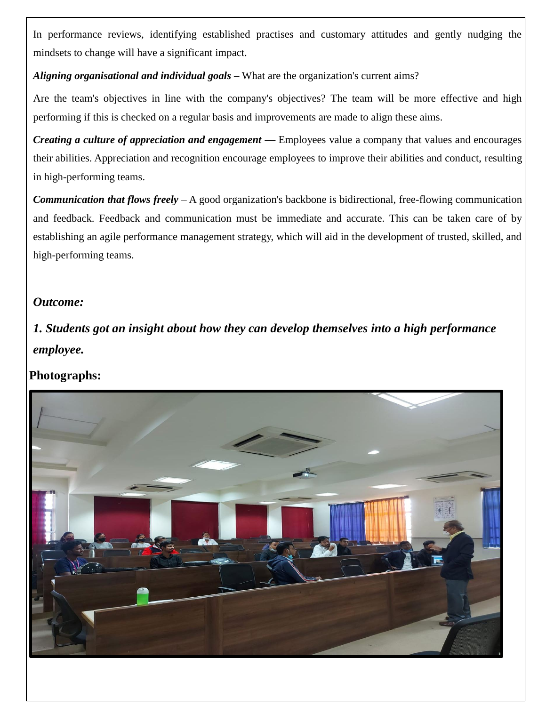In performance reviews, identifying established practises and customary attitudes and gently nudging the mindsets to change will have a significant impact.

*Aligning organisational and individual goals –* What are the organization's current aims?

Are the team's objectives in line with the company's objectives? The team will be more effective and high performing if this is checked on a regular basis and improvements are made to align these aims.

*Creating a culture of appreciation and engagement —* Employees value a company that values and encourages their abilities. Appreciation and recognition encourage employees to improve their abilities and conduct, resulting in high-performing teams.

*Communication that flows freely* – A good organization's backbone is bidirectional, free-flowing communication and feedback. Feedback and communication must be immediate and accurate. This can be taken care of by establishing an agile performance management strategy, which will aid in the development of trusted, skilled, and high-performing teams.

## *Outcome:*

*1. Students got an insight about how they can develop themselves into a high performance employee.* 

## **Photographs:**